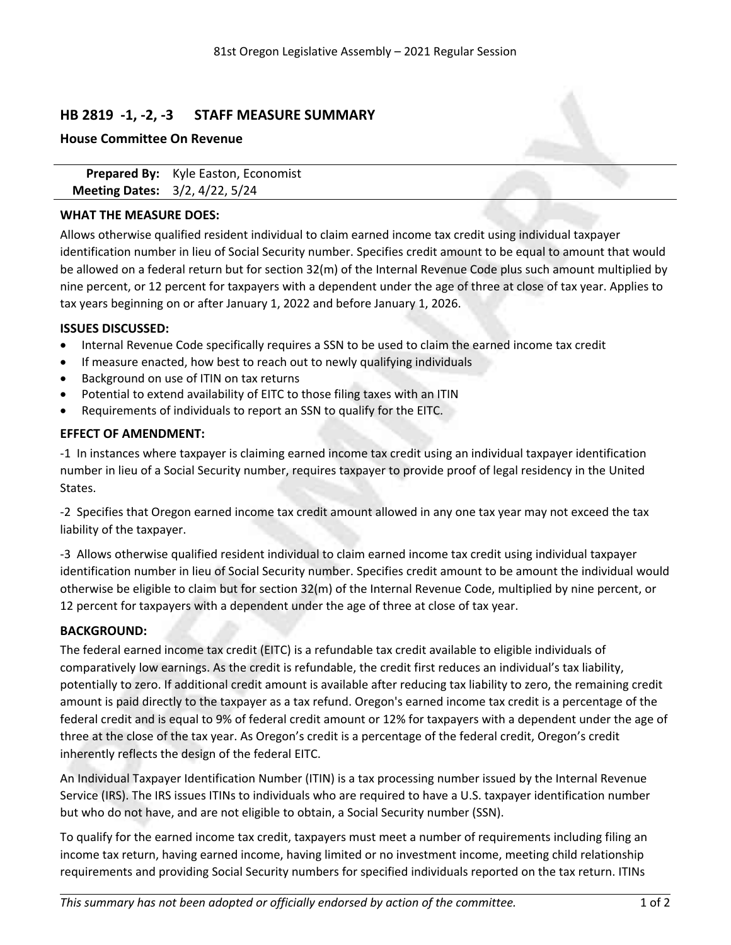# **HB 2819 -1, -2, -3 STAFF MEASURE SUMMARY**

### **House Committee On Revenue**

**Prepared By:** Kyle Easton, Economist **Meeting Dates:** 3/2, 4/22, 5/24

## **WHAT THE MEASURE DOES:**

Allows otherwise qualified resident individual to claim earned income tax credit using individual taxpayer identification number in lieu of Social Security number. Specifies credit amount to be equal to amount that would be allowed on <sup>a</sup> federal return but for section 32(m) of the Internal Revenue Code plus such amount multiplied by nine percent, or 12 percent for taxpayers with <sup>a</sup> dependent under the age of three at close of tax year. Applies to tax years beginning on or after January 1, 2022 and before January 1, 2026.

### **ISSUES DISCUSSED:**

- $\bullet$ Internal Revenue Code specifically requires <sup>a</sup> SSN to be used to claim the earned income tax credit
- . If measure enacted, how best to reach out to newly qualifying individuals
- . Background on use of ITIN on tax returns
- . Potential to extend availability of EITC to those filing taxes with an ITIN
- . Requirements of individuals to report an SSN to qualify for the EITC.

### **EFFECT OF AMENDMENT:**

-1 In instances where taxpayer is claiming earned income tax credit using an individual taxpayer identification number in lieu of <sup>a</sup> Social Security number, requires taxpayer to provide proof of legal residency in the United States.

-2 Specifies that Oregon earned income tax credit amount allowed in any one tax year may not exceed the tax liability of the taxpayer.

-3 Allows otherwise qualified resident individual to claim earned income tax credit using individual taxpayer identification number in lieu of Social Security number. Specifies credit amount to be amount the individual would otherwise be eligible to claim but for section 32(m) of the Internal Revenue Code, multiplied by nine percent, or 12 percent for taxpayers with <sup>a</sup> dependent under the age of three at close of tax year.

## **BACKGROUND:**

The federal earned income tax credit (EITC) is <sup>a</sup> refundable tax credit available to eligible individuals of comparatively low earnings. As the credit is refundable, the credit first reduces an individual's tax liability, potentially to zero. If additional credit amount is available after reducing tax liability to zero, the remaining credit amount is paid directly to the taxpayer as <sup>a</sup> tax refund. Oregon's earned income tax credit is <sup>a</sup> percentage of the federal credit and is equal to 9% of federal credit amount or 12% for taxpayers with <sup>a</sup> dependent under the age of three at the close of the tax year. As Oregon's credit is <sup>a</sup> percentage of the federal credit, Oregon's credit inherently reflects the design of the federal EITC.

An Individual Taxpayer Identification Number (ITIN) is <sup>a</sup> tax processing number issued by the Internal Revenue Service (IRS). The IRS issues ITINs to individuals who are required to have <sup>a</sup> U.S. taxpayer identification number but who do not have, and are not eligible to obtain, <sup>a</sup> Social Security number (SSN).

To qualify for the earned income tax credit, taxpayers must meet <sup>a</sup> number of requirements including filing an income tax return, having earned income, having limited or no investment income, meeting child relationship requirements and providing Social Security numbers for specified individuals reported on the tax return. ITINs